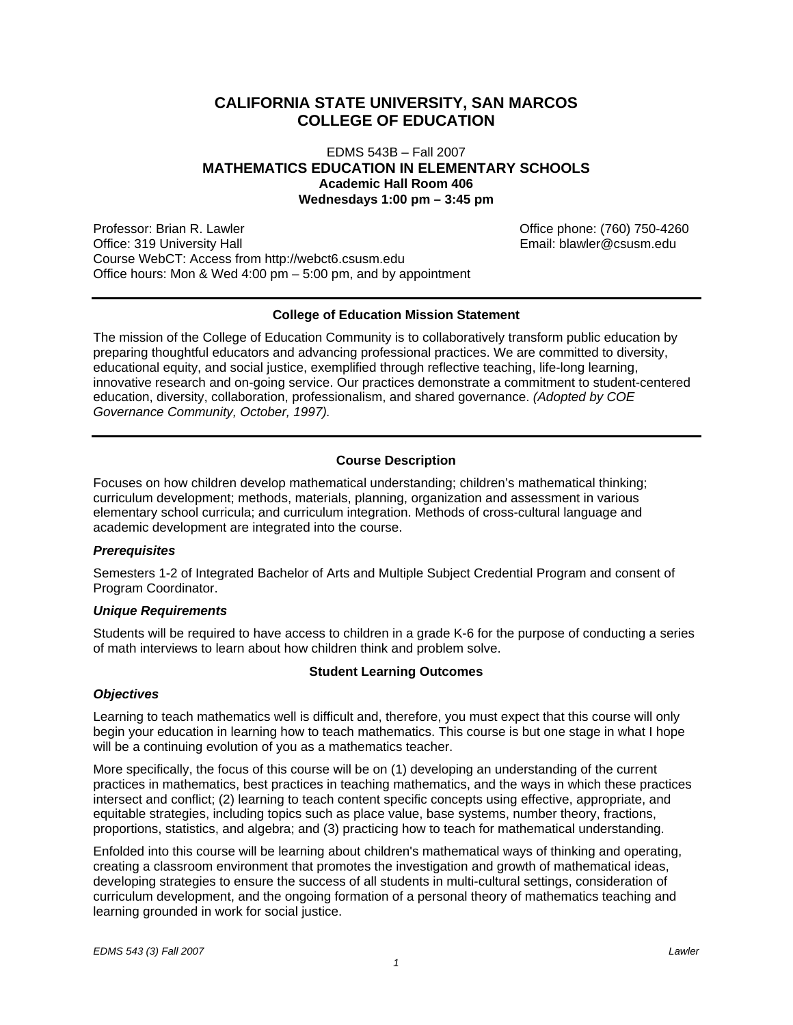# **CALIFORNIA STATE UNIVERSITY, SAN MARCOS COLLEGE OF EDUCATION**

# EDMS 543B – Fall 2007 **MATHEMATICS EDUCATION IN ELEMENTARY SCHOOLS Academic Hall Room 406 Wednesdays 1:00 pm – 3:45 pm**

Professor: Brian R. Lawler Christian Britannics Christian Control of Christian Control of Christian Christian C Office: 319 University Hall **Email: blawler@csusm.edu** Email: blawler@csusm.edu Course WebCT: Access from http://webct6.csusm.edu Office hours: Mon & Wed 4:00 pm – 5:00 pm, and by appointment

# **College of Education Mission Statement**

The mission of the College of Education Community is to collaboratively transform public education by preparing thoughtful educators and advancing professional practices. We are committed to diversity, educational equity, and social justice, exemplified through reflective teaching, life-long learning, innovative research and on-going service. Our practices demonstrate a commitment to student-centered education, diversity, collaboration, professionalism, and shared governance. *(Adopted by COE Governance Community, October, 1997).* 

# **Course Description**

Focuses on how children develop mathematical understanding; children's mathematical thinking; curriculum development; methods, materials, planning, organization and assessment in various elementary school curricula; and curriculum integration. Methods of cross-cultural language and academic development are integrated into the course.

# *Prerequisites*

Semesters 1-2 of Integrated Bachelor of Arts and Multiple Subject Credential Program and consent of Program Coordinator.

# *Unique Requirements*

Students will be required to have access to children in a grade K-6 for the purpose of conducting a series of math interviews to learn about how children think and problem solve.

# **Student Learning Outcomes**

# *Objectives*

Learning to teach mathematics well is difficult and, therefore, you must expect that this course will only begin your education in learning how to teach mathematics. This course is but one stage in what I hope will be a continuing evolution of you as a mathematics teacher.

More specifically, the focus of this course will be on (1) developing an understanding of the current practices in mathematics, best practices in teaching mathematics, and the ways in which these practices intersect and conflict; (2) learning to teach content specific concepts using effective, appropriate, and equitable strategies, including topics such as place value, base systems, number theory, fractions, proportions, statistics, and algebra; and (3) practicing how to teach for mathematical understanding.

Enfolded into this course will be learning about children's mathematical ways of thinking and operating, creating a classroom environment that promotes the investigation and growth of mathematical ideas, developing strategies to ensure the success of all students in multi-cultural settings, consideration of curriculum development, and the ongoing formation of a personal theory of mathematics teaching and learning grounded in work for social justice.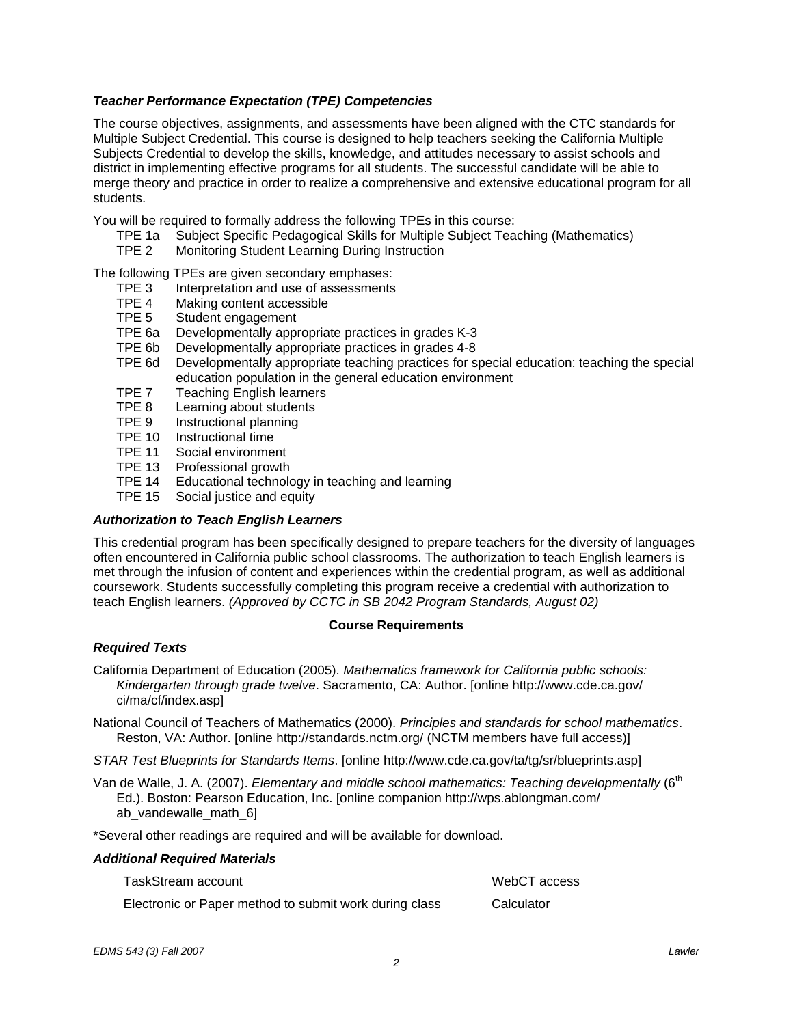# *Teacher Performance Expectation (TPE) Competencies*

The course objectives, assignments, and assessments have been aligned with the CTC standards for Multiple Subject Credential. This course is designed to help teachers seeking the California Multiple Subjects Credential to develop the skills, knowledge, and attitudes necessary to assist schools and district in implementing effective programs for all students. The successful candidate will be able to merge theory and practice in order to realize a comprehensive and extensive educational program for all students.

You will be required to formally address the following TPEs in this course:

- TPE 1a Subject Specific Pedagogical Skills for Multiple Subject Teaching (Mathematics)
- TPE 2 Monitoring Student Learning During Instruction

The following TPEs are given secondary emphases:

- TPE 3 Interpretation and use of assessments
- TPE 4 Making content accessible
- TPE 5 Student engagement
- TPE 6a Developmentally appropriate practices in grades K-3
- TPE 6b Developmentally appropriate practices in grades 4-8
- TPE 6d Developmentally appropriate teaching practices for special education: teaching the special education population in the general education environment
- TPE 7 Teaching English learners
- TPE 8 Learning about students
- TPE 9 Instructional planning
- TPE 10 Instructional time
- TPE 11 Social environment
- TPE 13 Professional growth
- TPE 14 Educational technology in teaching and learning
- TPE 15 Social justice and equity

# *Authorization to Teach English Learners*

This credential program has been specifically designed to prepare teachers for the diversity of languages often encountered in California public school classrooms. The authorization to teach English learners is met through the infusion of content and experiences within the credential program, as well as additional coursework. Students successfully completing this program receive a credential with authorization to teach English learners. *(Approved by CCTC in SB 2042 Program Standards, August 02)*

#### **Course Requirements**

# *Required Texts*

California Department of Education (2005). *Mathematics framework for California public schools: Kindergarten through grade twelve*. Sacramento, CA: Author. [online http://www.cde.ca.gov/ ci/ma/cf/index.asp]

National Council of Teachers of Mathematics (2000). *Principles and standards for school mathematics*. Reston, VA: Author. [online http://standards.nctm.org/ (NCTM members have full access)]

*STAR Test Blueprints for Standards Items*. [online http://www.cde.ca.gov/ta/tg/sr/blueprints.asp]

Van de Walle, J. A. (2007). *Elementary and middle school mathematics: Teaching developmentally* (6<sup>th</sup> Ed.). Boston: Pearson Education, Inc. [online companion http://wps.ablongman.com/ ab vandewalle math 6]

\*Several other readings are required and will be available for download.

#### *Additional Required Materials*

| TaskStream account                                     | WebCT access |
|--------------------------------------------------------|--------------|
| Electronic or Paper method to submit work during class | Calculator   |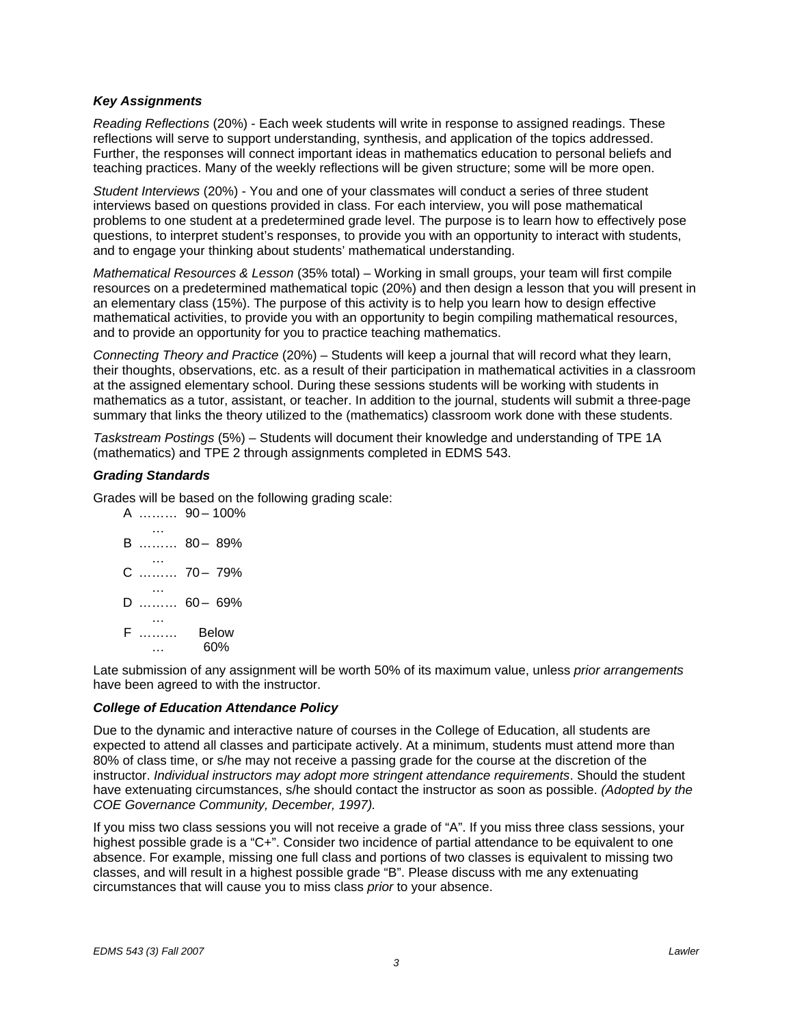# *Key Assignments*

*Reading Reflections* (20%) - Each week students will write in response to assigned readings. These reflections will serve to support understanding, synthesis, and application of the topics addressed. Further, the responses will connect important ideas in mathematics education to personal beliefs and teaching practices. Many of the weekly reflections will be given structure; some will be more open.

*Student Interviews* (20%) - You and one of your classmates will conduct a series of three student interviews based on questions provided in class. For each interview, you will pose mathematical problems to one student at a predetermined grade level. The purpose is to learn how to effectively pose questions, to interpret student's responses, to provide you with an opportunity to interact with students, and to engage your thinking about students' mathematical understanding.

*Mathematical Resources & Lesson* (35% total) – Working in small groups, your team will first compile resources on a predetermined mathematical topic (20%) and then design a lesson that you will present in an elementary class (15%). The purpose of this activity is to help you learn how to design effective mathematical activities, to provide you with an opportunity to begin compiling mathematical resources, and to provide an opportunity for you to practice teaching mathematics.

*Connecting Theory and Practice* (20%) – Students will keep a journal that will record what they learn, their thoughts, observations, etc. as a result of their participation in mathematical activities in a classroom at the assigned elementary school. During these sessions students will be working with students in mathematics as a tutor, assistant, or teacher. In addition to the journal, students will submit a three-page summary that links the theory utilized to the (mathematics) classroom work done with these students.

*Taskstream Postings* (5%) – Students will document their knowledge and understanding of TPE 1A (mathematics) and TPE 2 through assignments completed in EDMS 543.

# *Grading Standards*

Grades will be based on the following grading scale:

A ……… 90 – 100% … B ……… 80 – 89% … C ……… 70 – 79% … D ……… 60 – 69% … F ……… … Below 60%

Late submission of any assignment will be worth 50% of its maximum value, unless *prior arrangements* have been agreed to with the instructor.

# *College of Education Attendance Policy*

Due to the dynamic and interactive nature of courses in the College of Education, all students are expected to attend all classes and participate actively. At a minimum, students must attend more than 80% of class time, or s/he may not receive a passing grade for the course at the discretion of the instructor. *Individual instructors may adopt more stringent attendance requirements*. Should the student have extenuating circumstances, s/he should contact the instructor as soon as possible. *(Adopted by the COE Governance Community, December, 1997).*

If you miss two class sessions you will not receive a grade of "A". If you miss three class sessions, your highest possible grade is a "C+". Consider two incidence of partial attendance to be equivalent to one absence. For example, missing one full class and portions of two classes is equivalent to missing two classes, and will result in a highest possible grade "B". Please discuss with me any extenuating circumstances that will cause you to miss class *prior* to your absence.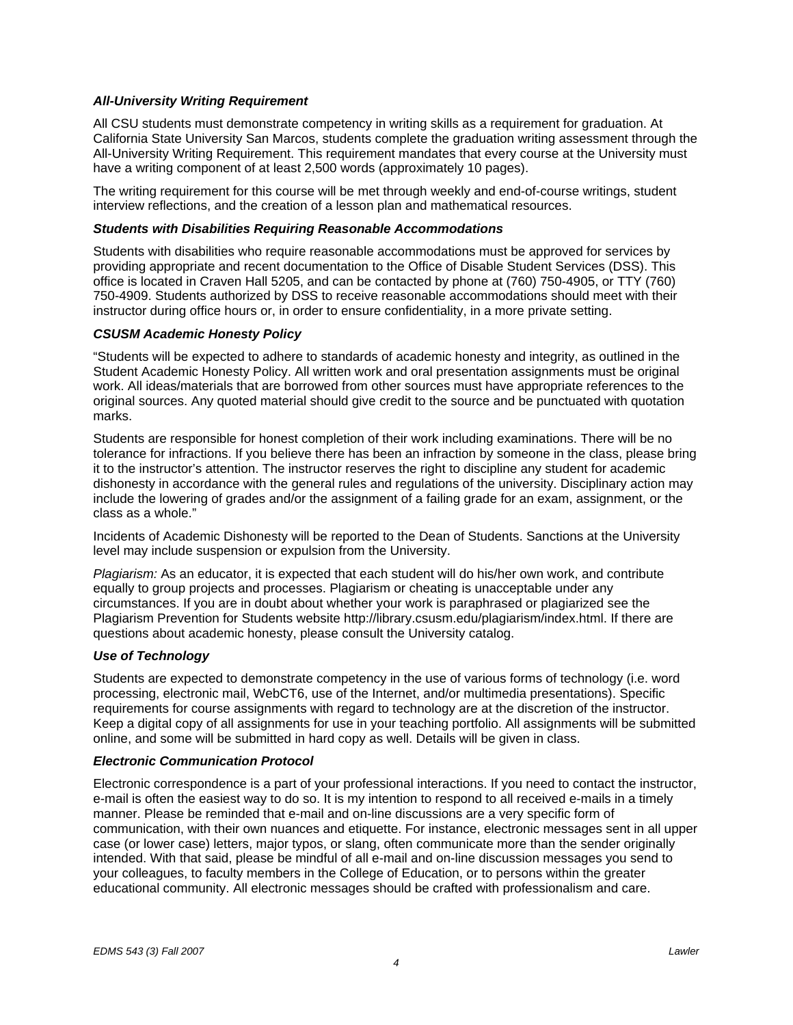# *All-University Writing Requirement*

All CSU students must demonstrate competency in writing skills as a requirement for graduation. At California State University San Marcos, students complete the graduation writing assessment through the All-University Writing Requirement. This requirement mandates that every course at the University must have a writing component of at least 2,500 words (approximately 10 pages).

The writing requirement for this course will be met through weekly and end-of-course writings, student interview reflections, and the creation of a lesson plan and mathematical resources.

### *Students with Disabilities Requiring Reasonable Accommodations*

Students with disabilities who require reasonable accommodations must be approved for services by providing appropriate and recent documentation to the Office of Disable Student Services (DSS). This office is located in Craven Hall 5205, and can be contacted by phone at (760) 750-4905, or TTY (760) 750-4909. Students authorized by DSS to receive reasonable accommodations should meet with their instructor during office hours or, in order to ensure confidentiality, in a more private setting.

# *CSUSM Academic Honesty Policy*

"Students will be expected to adhere to standards of academic honesty and integrity, as outlined in the Student Academic Honesty Policy. All written work and oral presentation assignments must be original work. All ideas/materials that are borrowed from other sources must have appropriate references to the original sources. Any quoted material should give credit to the source and be punctuated with quotation marks.

Students are responsible for honest completion of their work including examinations. There will be no tolerance for infractions. If you believe there has been an infraction by someone in the class, please bring it to the instructor's attention. The instructor reserves the right to discipline any student for academic dishonesty in accordance with the general rules and regulations of the university. Disciplinary action may include the lowering of grades and/or the assignment of a failing grade for an exam, assignment, or the class as a whole."

Incidents of Academic Dishonesty will be reported to the Dean of Students. Sanctions at the University level may include suspension or expulsion from the University.

*Plagiarism:* As an educator, it is expected that each student will do his/her own work, and contribute equally to group projects and processes. Plagiarism or cheating is unacceptable under any circumstances. If you are in doubt about whether your work is paraphrased or plagiarized see the Plagiarism Prevention for Students website http://library.csusm.edu/plagiarism/index.html. If there are questions about academic honesty, please consult the University catalog.

# *Use of Technology*

Students are expected to demonstrate competency in the use of various forms of technology (i.e. word processing, electronic mail, WebCT6, use of the Internet, and/or multimedia presentations). Specific requirements for course assignments with regard to technology are at the discretion of the instructor. Keep a digital copy of all assignments for use in your teaching portfolio. All assignments will be submitted online, and some will be submitted in hard copy as well. Details will be given in class.

# *Electronic Communication Protocol*

Electronic correspondence is a part of your professional interactions. If you need to contact the instructor, e-mail is often the easiest way to do so. It is my intention to respond to all received e-mails in a timely manner. Please be reminded that e-mail and on-line discussions are a very specific form of communication, with their own nuances and etiquette. For instance, electronic messages sent in all upper case (or lower case) letters, major typos, or slang, often communicate more than the sender originally intended. With that said, please be mindful of all e-mail and on-line discussion messages you send to your colleagues, to faculty members in the College of Education, or to persons within the greater educational community. All electronic messages should be crafted with professionalism and care.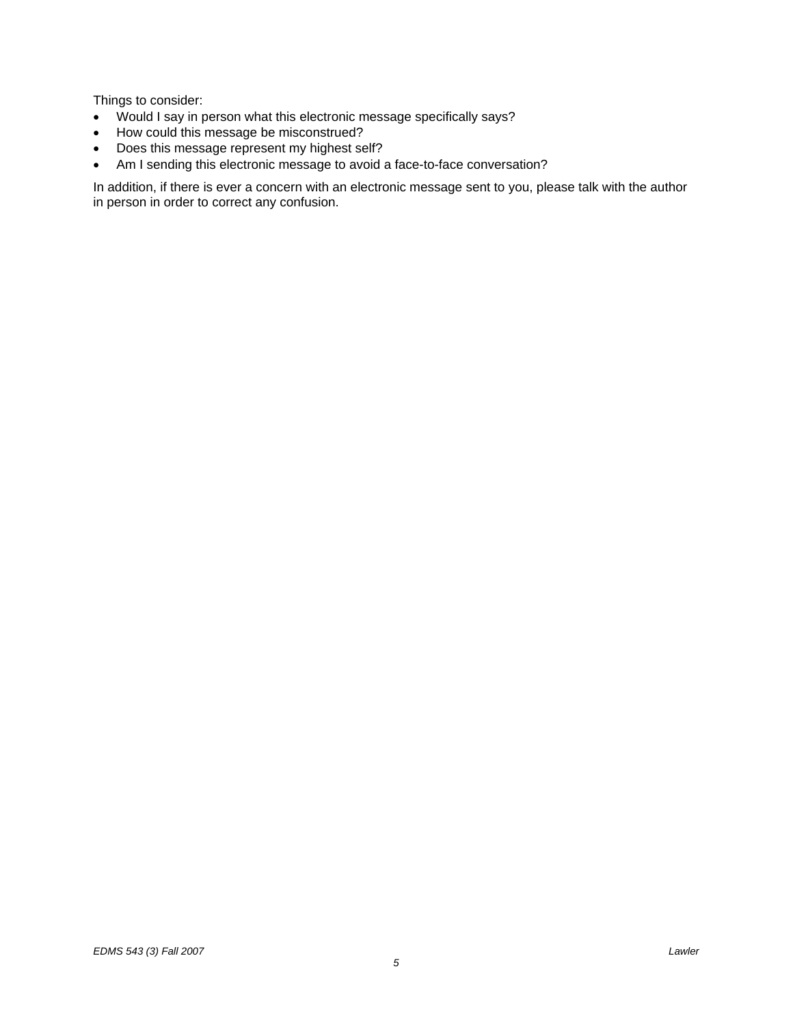Things to consider:

- Would I say in person what this electronic message specifically says?
- How could this message be misconstrued?
- Does this message represent my highest self?
- Am I sending this electronic message to avoid a face-to-face conversation?

In addition, if there is ever a concern with an electronic message sent to you, please talk with the author in person in order to correct any confusion.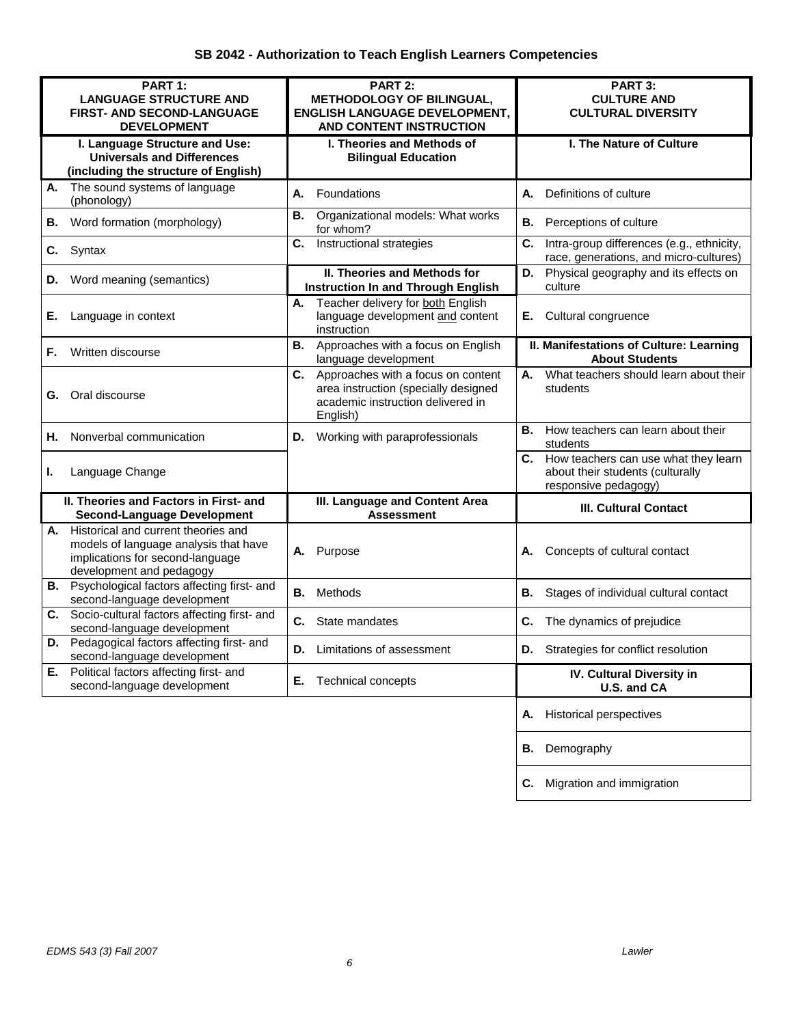| PART 1:<br><b>LANGUAGE STRUCTURE AND</b><br><b>FIRST- AND SECOND-LANGUAGE</b><br><b>DEVELOPMENT</b>                                                | PART 2:<br><b>METHODOLOGY OF BILINGUAL,</b><br><b>ENGLISH LANGUAGE DEVELOPMENT,</b><br>AND CONTENT INSTRUCTION                    | PART 3:<br><b>CULTURE AND</b><br><b>CULTURAL DIVERSITY</b>                                          |
|----------------------------------------------------------------------------------------------------------------------------------------------------|-----------------------------------------------------------------------------------------------------------------------------------|-----------------------------------------------------------------------------------------------------|
| I. Language Structure and Use:<br><b>Universals and Differences</b><br>(including the structure of English)                                        | I. Theories and Methods of<br><b>Bilingual Education</b>                                                                          | I. The Nature of Culture                                                                            |
| The sound systems of language<br>А.<br>(phonology)                                                                                                 | Foundations<br>А.                                                                                                                 | Definitions of culture<br>А.                                                                        |
| Word formation (morphology)<br>В.                                                                                                                  | Organizational models: What works<br>В.<br>for whom?                                                                              | Perceptions of culture<br>В.                                                                        |
| Syntax<br>C.                                                                                                                                       | Instructional strategies<br>C.                                                                                                    | C.<br>Intra-group differences (e.g., ethnicity,<br>race, generations, and micro-cultures)           |
| Word meaning (semantics)<br>D.                                                                                                                     | II. Theories and Methods for<br><b>Instruction In and Through English</b>                                                         | D. Physical geography and its effects on<br>culture                                                 |
| Language in context<br>Ε.                                                                                                                          | Teacher delivery for both English<br>А.<br>language development and content<br>instruction                                        | Cultural congruence<br>Е.                                                                           |
| Written discourse<br>F.                                                                                                                            | Approaches with a focus on English<br>В.<br>language development                                                                  | II. Manifestations of Culture: Learning<br><b>About Students</b>                                    |
| Oral discourse<br>G.                                                                                                                               | C.<br>Approaches with a focus on content<br>area instruction (specially designed<br>academic instruction delivered in<br>English) | What teachers should learn about their<br>А.<br>students                                            |
| Nonverbal communication<br>н.                                                                                                                      | <b>D.</b> Working with paraprofessionals                                                                                          | В.<br>How teachers can learn about their<br>students                                                |
| Language Change<br>L.                                                                                                                              |                                                                                                                                   | C. How teachers can use what they learn<br>about their students (culturally<br>responsive pedagogy) |
| II. Theories and Factors in First- and<br><b>Second-Language Development</b>                                                                       | III. Language and Content Area<br><b>Assessment</b>                                                                               | <b>III. Cultural Contact</b>                                                                        |
| Historical and current theories and<br>А.<br>models of language analysis that have<br>implications for second-language<br>development and pedagogy | Purpose<br>Α.                                                                                                                     | Concepts of cultural contact<br>А.                                                                  |
| <b>B.</b> Psychological factors affecting first- and<br>second-language development                                                                | Methods<br>В.                                                                                                                     | В.<br>Stages of individual cultural contact                                                         |
| C. Socio-cultural factors affecting first- and<br>second-language development                                                                      | C.<br>State mandates                                                                                                              | C.<br>The dynamics of prejudice                                                                     |
| Pedagogical factors affecting first- and<br>D.<br>second-language development                                                                      | <b>D.</b> Limitations of assessment                                                                                               | D.<br>Strategies for conflict resolution                                                            |
| Political factors affecting first- and<br>Е.<br>second-language development                                                                        | Е.<br><b>Technical concepts</b>                                                                                                   | IV. Cultural Diversity in<br>U.S. and CA                                                            |
|                                                                                                                                                    |                                                                                                                                   | Historical perspectives<br>Α.                                                                       |
|                                                                                                                                                    |                                                                                                                                   | Demography<br>В.                                                                                    |
|                                                                                                                                                    |                                                                                                                                   | Migration and immigration<br>С.                                                                     |

 *6*